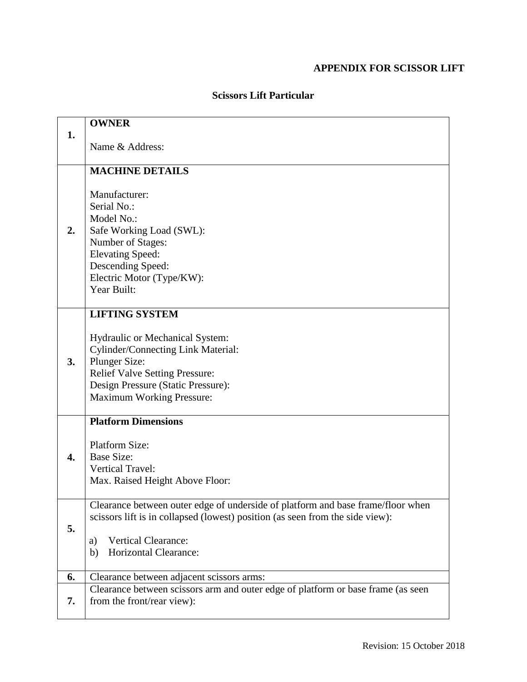## **APPENDIX FOR SCISSOR LIFT**

|    | <b>OWNER</b>                                                                     |
|----|----------------------------------------------------------------------------------|
| 1. |                                                                                  |
|    | Name & Address:                                                                  |
|    |                                                                                  |
|    | <b>MACHINE DETAILS</b>                                                           |
|    |                                                                                  |
|    | Manufacturer:                                                                    |
|    | Serial No.:                                                                      |
|    | Model No.:                                                                       |
| 2. | Safe Working Load (SWL):                                                         |
|    | Number of Stages:                                                                |
|    | <b>Elevating Speed:</b>                                                          |
|    | Descending Speed:                                                                |
|    | Electric Motor (Type/KW):                                                        |
|    | Year Built:                                                                      |
|    | <b>LIFTING SYSTEM</b>                                                            |
| 3. |                                                                                  |
|    | Hydraulic or Mechanical System:                                                  |
|    | <b>Cylinder/Connecting Link Material:</b>                                        |
|    | <b>Plunger Size:</b>                                                             |
|    | <b>Relief Valve Setting Pressure:</b>                                            |
|    | Design Pressure (Static Pressure):                                               |
|    | <b>Maximum Working Pressure:</b>                                                 |
|    |                                                                                  |
| 4. | <b>Platform Dimensions</b>                                                       |
|    |                                                                                  |
|    | <b>Platform Size:</b><br><b>Base Size:</b>                                       |
|    | <b>Vertical Travel:</b>                                                          |
|    | Max. Raised Height Above Floor:                                                  |
|    |                                                                                  |
|    | Clearance between outer edge of underside of platform and base frame/floor when  |
|    | scissors lift is in collapsed (lowest) position (as seen from the side view):    |
| 5. |                                                                                  |
|    | <b>Vertical Clearance:</b><br>a)                                                 |
|    | Horizontal Clearance:<br>b)                                                      |
|    |                                                                                  |
| 6. | Clearance between adjacent scissors arms:                                        |
|    | Clearance between scissors arm and outer edge of platform or base frame (as seen |
| 7. | from the front/rear view):                                                       |
|    |                                                                                  |

## **Scissors Lift Particular**